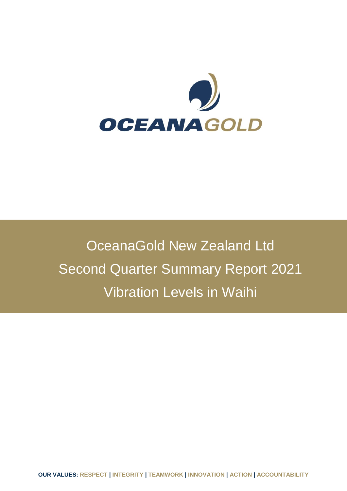

OceanaGold New Zealand Ltd Second Quarter Summary Report 2021 Vibration Levels in Waihi

**OUR VALUES: RESPECT | INTEGRITY | TEAMWORK | INNOVATION | ACTION | ACCOUNTABILITY**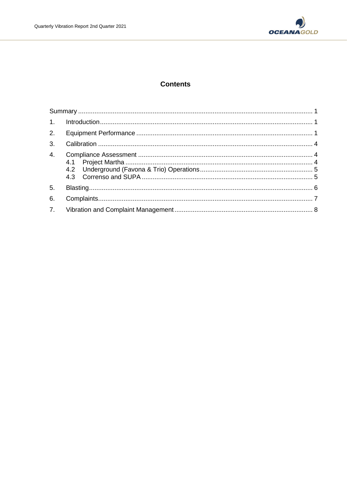

# **Contents**

| 3. |  |  |  |  |
|----|--|--|--|--|
| 4. |  |  |  |  |
| 5. |  |  |  |  |
| 6. |  |  |  |  |
|    |  |  |  |  |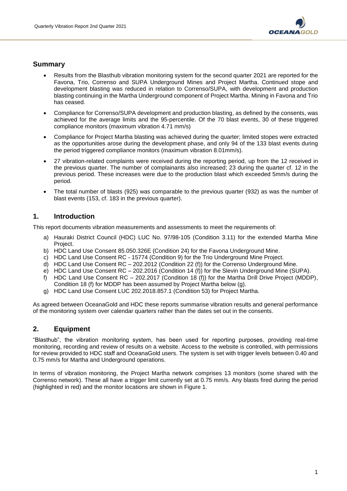

## **Summary**

- Results from the Blasthub vibration monitoring system for the second quarter 2021 are reported for the Favona, Trio, Correnso and SUPA Underground Mines and Project Martha. Continued stope and development blasting was reduced in relation to Correnso/SUPA, with development and production blasting continuing in the Martha Underground component of Project Martha. Mining in Favona and Trio has ceased.
- Compliance for Correnso/SUPA development and production blasting, as defined by the consents, was achieved for the average limits and the 95-percentile. Of the 70 blast events, 30 of these triggered compliance monitors (maximum vibration 4.71 mm/s)
- Compliance for Project Martha blasting was achieved during the quarter; limited stopes were extracted as the opportunities arose during the development phase, and only 94 of the 133 blast events during the period triggered compliance monitors (maximum vibration 8.01mm/s).
- 27 vibration-related complaints were received during the reporting period, up from the 12 received in the previous quarter. The number of complainants also increased; 23 during the quarter cf. 12 in the previous period. These increases were due to the production blast which exceeded 5mm/s during the period.
- The total number of blasts (925) was comparable to the previous quarter (932) as was the number of blast events (153, cf. 183 in the previous quarter).

# **1. Introduction**

This report documents vibration measurements and assessments to meet the requirements of:

- a) Hauraki District Council (HDC) LUC No. 97/98-105 (Condition 3.11) for the extended Martha Mine Project.
- b) HDC Land Use Consent 85.050.326E (Condition 24) for the Favona Underground Mine.
- c) HDC Land Use Consent RC 15774 (Condition 9) for the Trio Underground Mine Project.
- d) HDC Land Use Consent RC 202.2012 (Condition 22 (f)) for the Correnso Underground Mine.
- e) HDC Land Use Consent RC 202.2016 (Condition 14 (f)) for the Slevin Underground Mine (SUPA).
- f) HDC Land Use Consent RC 202.2017 (Condition 18 (f)) for the Martha Drill Drive Project (MDDP), Condition 18 (f) for MDDP has been assumed by Project Martha below (g).
- g) HDC Land Use Consent LUC 202.2018.857.1 (Condition 53) for Project Martha.

As agreed between OceanaGold and HDC these reports summarise vibration results and general performance of the monitoring system over calendar quarters rather than the dates set out in the consents.

## **2. Equipment**

"Blasthub", the vibration monitoring system, has been used for reporting purposes, providing real-time monitoring, recording and review of results on a website. Access to the website is controlled, with permissions for review provided to HDC staff and OceanaGold users. The system is set with trigger levels between 0.40 and 0.75 mm/s for Martha and Underground operations.

In terms of vibration monitoring, the Project Martha network comprises 13 monitors (some shared with the Correnso network). These all have a trigger limit currently set at 0.75 mm/s. Any blasts fired during the period (highlighted in red) and the monitor locations are shown in Figure 1.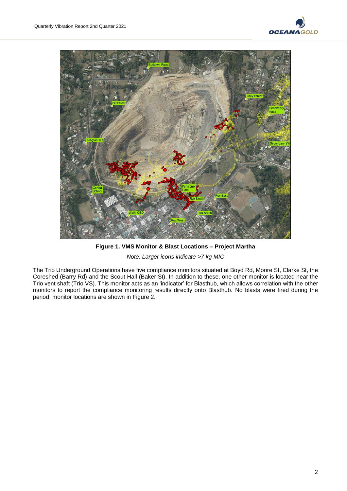



**Figure 1. VMS Monitor & Blast Locations – Project Martha** *Note: Larger icons indicate >7 kg MIC*

The Trio Underground Operations have five compliance monitors situated at Boyd Rd, Moore St, Clarke St, the Coreshed (Barry Rd) and the Scout Hall (Baker St). In addition to these, one other monitor is located near the Trio vent shaft (Trio VS). This monitor acts as an 'indicator' for Blasthub, which allows correlation with the other monitors to report the compliance monitoring results directly onto Blasthub. No blasts were fired during the period; monitor locations are shown in Figure 2.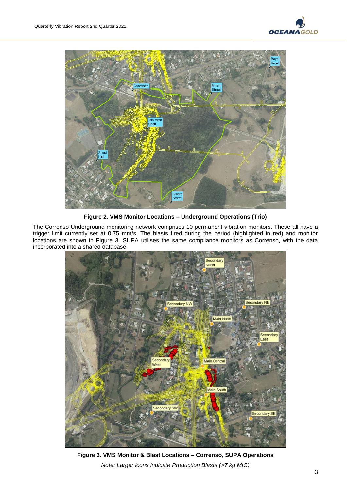



**Figure 2. VMS Monitor Locations – Underground Operations (Trio)**

The Correnso Underground monitoring network comprises 10 permanent vibration monitors. These all have a trigger limit currently set at 0.75 mm/s. The blasts fired during the period (highlighted in red) and monitor locations are shown in Figure 3. SUPA utilises the same compliance monitors as Correnso, with the data incorporated into a shared database.



**Figure 3. VMS Monitor & Blast Locations – Correnso, SUPA Operations** *Note: Larger icons indicate Production Blasts (>7 kg MIC)*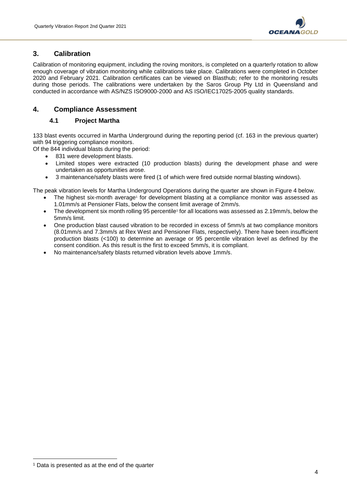

# **3. Calibration**

Calibration of monitoring equipment, including the roving monitors, is completed on a quarterly rotation to allow enough coverage of vibration monitoring while calibrations take place. Calibrations were completed in October 2020 and February 2021. Calibration certificates can be viewed on Blasthub; refer to the monitoring results during those periods. The calibrations were undertaken by the Saros Group Pty Ltd in Queensland and conducted in accordance with AS/NZS ISO9000-2000 and AS ISO/IEC17025-2005 quality standards.

## **4. Compliance Assessment**

#### **4.1 Project Martha**

133 blast events occurred in Martha Underground during the reporting period (cf. 163 in the previous quarter) with 94 triggering compliance monitors.

Of the 844 individual blasts during the period:

- 831 were development blasts.
- Limited stopes were extracted (10 production blasts) during the development phase and were undertaken as opportunities arose.
- 3 maintenance/safety blasts were fired (1 of which were fired outside normal blasting windows).

The peak vibration levels for Martha Underground Operations during the quarter are shown in Figure 4 below.

- The highest six-month average<sup>1</sup> for development blasting at a compliance monitor was assessed as 1.01mm/s at Pensioner Flats, below the consent limit average of 2mm/s.
- The development six month rolling 95 percentile<sup>1</sup> for all locations was assessed as 2.19mm/s, below the 5mm/s limit.
- One production blast caused vibration to be recorded in excess of 5mm/s at two compliance monitors (8.01mm/s and 7.3mm/s at Rex West and Pensioner Flats, respectively). There have been insufficient production blasts (<100) to determine an average or 95 percentile vibration level as defined by the consent condition. As this result is the first to exceed 5mm/s, it is compliant.
- No maintenance/safety blasts returned vibration levels above 1mm/s.

1

<sup>1</sup> Data is presented as at the end of the quarter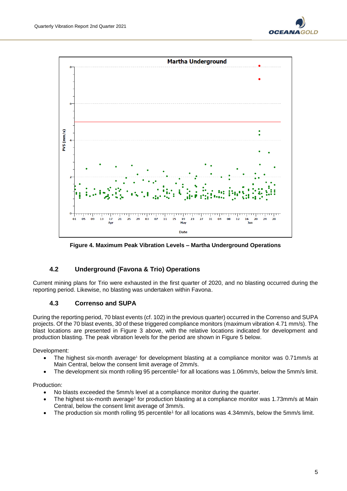



**Figure 4. Maximum Peak Vibration Levels – Martha Underground Operations**

#### **4.2 Underground (Favona & Trio) Operations**

Current mining plans for Trio were exhausted in the first quarter of 2020, and no blasting occurred during the reporting period. Likewise, no blasting was undertaken within Favona.

## **4.3 Correnso and SUPA**

During the reporting period, 70 blast events (cf. 102) in the previous quarter) occurred in the Correnso and SUPA projects. Of the 70 blast events, 30 of these triggered compliance monitors (maximum vibration 4.71 mm/s). The blast locations are presented in Figure 3 above, with the relative locations indicated for development and production blasting. The peak vibration levels for the period are shown in Figure 5 below.

Development:

- The highest six-month average<sup>1</sup> for development blasting at a compliance monitor was 0.71mm/s at Main Central, below the consent limit average of 2mm/s.
- The development six month rolling 95 percentile<sup>1</sup> for all locations was 1.06mm/s, below the 5mm/s limit.

#### Production:

- No blasts exceeded the 5mm/s level at a compliance monitor during the quarter.
- The highest six-month average<sup>1</sup> for production blasting at a compliance monitor was 1.73mm/s at Main Central, below the consent limit average of 3mm/s.
- The production six month rolling 95 percentile<sup>1</sup> for all locations was 4.34mm/s, below the 5mm/s limit.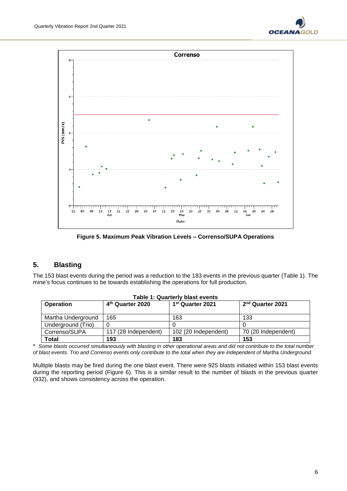



**Figure 5. Maximum Peak Vibration Levels – Correnso/SUPA Operations**

# **5. Blasting**

The 153 blast events during the period was a reduction to the 183 events in the previous quarter (Table 1). The mine's focus continues to be towards establishing the operations for full production.

| <b>Table 1: Quarterly blast events</b> |                              |                              |                              |  |  |  |  |  |  |
|----------------------------------------|------------------------------|------------------------------|------------------------------|--|--|--|--|--|--|
| <b>Operation</b>                       | 4 <sup>th</sup> Quarter 2020 | 1 <sup>st</sup> Quarter 2021 | 2 <sup>nd</sup> Quarter 2021 |  |  |  |  |  |  |
|                                        |                              |                              |                              |  |  |  |  |  |  |
| Martha Underground                     | 165                          | 163                          | 133                          |  |  |  |  |  |  |
| Underground (Trio)                     |                              |                              |                              |  |  |  |  |  |  |
| Correnso/SUPA                          | 117 (28 Independent)         | 102 (20 Independent)         | 70 (20 Independent)          |  |  |  |  |  |  |
| <b>Total</b>                           | 193                          | 183                          | 153                          |  |  |  |  |  |  |

\* *Some blasts occurred simultaneously with blasting in other operational areas and did not contribute to the total number of blast events. Trio and Correnso events only contribute to the total when they are independent of Martha Underground.*

Multiple blasts may be fired during the one blast event. There were 925 blasts initiated within 153 blast events during the reporting period (Figure 6). This is a similar result to the number of blasts in the previous quarter (932), and shows consistency across the operation.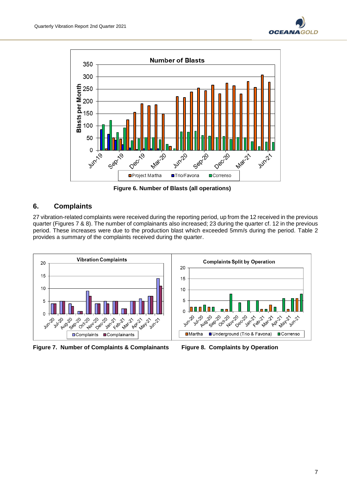



**Figure 6. Number of Blasts (all operations)**

# **6. Complaints**

27 vibration-related complaints were received during the reporting period, up from the 12 received in the previous quarter (Figures 7 & 8). The number of complainants also increased; 23 during the quarter cf. 12 in the previous period. These increases were due to the production blast which exceeded 5mm/s during the period. Table 2 provides a summary of the complaints received during the quarter.



**Figure 7. Number of Complaints & Complainants Figure 8. Complaints by Operation**